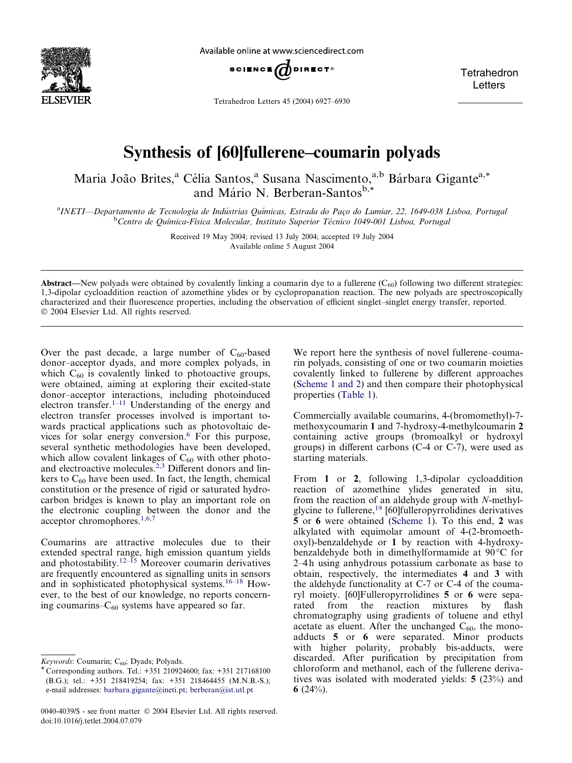

Available online at www.sciencedirect.com



Tetrahedron Letters 45 (2004) 6927–6930

**Tetrahedron** Letters

# Synthesis of [60]fullerene–coumarin polyads

Maria João Brites,<sup>a</sup> Célia Santos,<sup>a</sup> Susana Nascimento,<sup>a,b</sup> Bárbara Gigante<sup>a,\*</sup> and Mário N. Berberan-Santos<sup>b,\*</sup>

a<br>INETI—Departamento de Tecnologia de Indústrias Químicas, Estrada do Paço do Lumiar, 22, 1649-038 Lisboa, Portugal<br>PContro de Ovímica Eísica Molecular, Instituto Superior Técnico 1040.001 Lisboa, Portugal <sup>b</sup>Centro de Química-Física Molecular, Instituto Superior Técnico 1049-001 Lisboa, Portugal

> Received 19May 2004; revised 13 July 2004; accepted 19July 2004 Available online 5 August 2004

Abstract—New polyads were obtained by covalently linking a coumarin dye to a fullerene  $(C_{60})$  following two different strategies: 1,3-dipolar cycloaddition reaction of azomethine ylides or by cyclopropanation reaction. The new polyads are spectroscopically characterized and their fluorescence properties, including the observation of efficient singlet–singlet energy transfer, reported. 2004 Elsevier Ltd. All rights reserved.

Over the past decade, a large number of  $C_{60}$ -based donor–acceptor dyads, and more complex polyads, in which  $C_{60}$  is covalently linked to photoactive groups, were obtained, aiming at exploring their excited-state donor–acceptor interactions, including photoinduced electron transfer. $1-11$  Understanding of the energy and electron transfer processes involved is important towards practical applications such as photovoltaic de-vices for solar energy conversion.<sup>[6](#page-3-0)</sup> For this purpose, several synthetic methodologies have been developed, which allow covalent linkages of  $C_{60}$  with other photo-and electroactive molecules.<sup>[2,3](#page-3-0)</sup> Different donors and linkers to  $C_{60}$  have been used. In fact, the length, chemical constitution or the presence of rigid or saturated hydrocarbon bridges is known to play an important role on the electronic coupling between the donor and the acceptor chromophores.[1,6,7](#page-3-0)

Coumarins are attractive molecules due to their extended spectral range, high emission quantum yields and photostability.<sup>[12–15](#page-3-0)</sup> Moreover coumarin derivatives are frequently encountered as signalling units in sensors and in sophisticated photophysical systems.[16–18](#page-3-0) However, to the best of our knowledge, no reports concerning coumarins– $C_{60}$  systems have appeared so far.

We report here the synthesis of novel fullerene–coumarin polyads, consisting of one or two coumarin moieties covalently linked to fullerene by different approaches ([Scheme 1 and 2\)](#page-1-0) and then compare their photophysical properties ([Table 1\)](#page-2-0).

Commercially available coumarins, 4-(bromomethyl)-7 methoxycoumarin 1 and 7-hydroxy-4-methylcoumarin 2 containing active groups (bromoalkyl or hydroxyl groups) in different carbons (C-4 or C-7), were used as starting materials.

From 1 or 2, following 1,3-dipolar cycloaddition reaction of azomethine ylides generated in situ, from the reaction of an aldehyde group with N-methylglycine to fullerene,[19](#page-3-0) [60]fulleropyrrolidines derivatives 5 or 6 were obtained ([Scheme 1\)](#page-1-0). To this end, 2 was alkylated with equimolar amount of 4-(2-bromoethoxyl)-benzaldehyde or 1 by reaction with 4-hydroxybenzaldehyde both in dimethylformamide at 90 °C for 2–4 h using anhydrous potassium carbonate as base to obtain, respectively, the intermediates 4 and 3 with the aldehyde functionality at C-7 or C-4 of the coumaryl moiety. [60]Fulleropyrrolidines 5 or 6 were separated from the reaction mixtures by flash chromatography using gradients of toluene and ethyl acetate as eluent. After the unchanged  $C_{60}$ , the monoadducts 5 or 6 were separated. Minor products with higher polarity, probably bis-adducts, were discarded. After purification by precipitation from chloroform and methanol, each of the fullerene derivatives was isolated with moderated yields: 5 (23%) and 6  $(24%)$ .

 $Keywords:$  Coumarin;  $C_{60}$ ; Dyads; Polyads.

<sup>\*</sup> Corresponding authors. Tel.: +351 210924600; fax: +351 217168100 (B.G.); tel.: +351 218419254; fax: +351 218464455 (M.N.B.-S.); e-mail addresses: [barbara.gigante@ineti.pt;](mailto:barbara.gigante@ineti.pt; ) [berberan@ist.utl.pt](mailto:berberan@ist.utl.pt)

<sup>0040-4039/\$ -</sup> see front matter © 2004 Elsevier Ltd. All rights reserved. doi:10.1016/j.tetlet.2004.07.079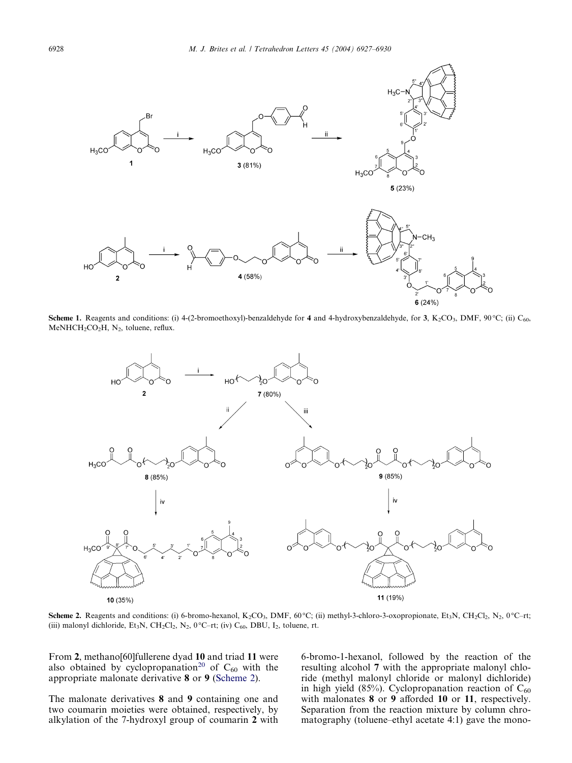<span id="page-1-0"></span>

**Scheme 1.** Reagents and conditions: (i) 4-(2-bromoethoxyl)-benzaldehyde for 4 and 4-hydroxybenzaldehyde, for 3, K<sub>2</sub>CO<sub>3</sub>, DMF, 90 °C; (ii) C<sub>60</sub>, MeNHCH<sub>2</sub>CO<sub>2</sub>H, N<sub>2</sub>, toluene, reflux.



**Scheme 2.** Reagents and conditions: (i) 6-bromo-hexanol, K<sub>2</sub>CO<sub>3</sub>, DMF, 60°C; (ii) methyl-3-chloro-3-oxopropionate, Et<sub>3</sub>N, CH<sub>2</sub>Cl<sub>2</sub>, N<sub>2</sub>, 0°C-rt; (iii) malonyl dichloride,  $Et_3N$ ,  $CH_2Cl_2$ ,  $N_2$ ,  $0^{\circ}C$ -rt; (iv)  $C_{60}$ , DBU,  $I_2$ , toluene, rt.

From 2, methano[60]fullerene dyad 10 and triad 11 were also obtained by cyclopropanation<sup>[20](#page-3-0)</sup> of  $C_{60}$  with the appropriate malonate derivative 8 or 9 (Scheme 2).

The malonate derivatives 8 and 9 containing one and two coumarin moieties were obtained, respectively, by alkylation of the 7-hydroxyl group of coumarin 2 with 6-bromo-1-hexanol, followed by the reaction of the resulting alcohol 7 with the appropriate malonyl chloride (methyl malonyl chloride or malonyl dichloride) in high yield (85%). Cyclopropanation reaction of  $C_{60}$ with malonates 8 or 9 afforded 10 or 11, respectively. Separation from the reaction mixture by column chromatography (toluene–ethyl acetate 4:1) gave the mono-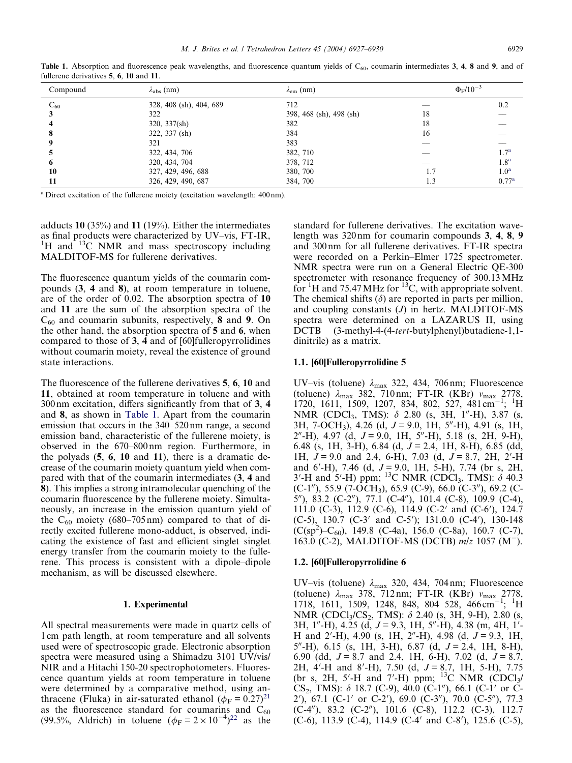| Compound | $\lambda_{\rm abs}$ (nm) | $\lambda_{\rm em}$ (nm) | $\Phi_{\rm F}$ /10 <sup>-3</sup> |                  |
|----------|--------------------------|-------------------------|----------------------------------|------------------|
| $C_{60}$ | 328, 408 (sh), 404, 689  | 712                     |                                  | 0.2              |
|          | 322                      | 398, 468 (sh), 498 (sh) | 18                               |                  |
|          | 320, 337(sh)             | 382                     | 18                               |                  |
| 8        | 322, 337 (sh)            | 384                     | 16                               |                  |
| 9        | 321                      | 383                     |                                  |                  |
|          | 322, 434, 706            | 382, 710                |                                  | 1.7 <sup>a</sup> |
| 6        | 320, 434, 704            | 378, 712                |                                  | 1.8 <sup>a</sup> |
| 10       | 327, 429, 496, 688       | 380, 700                | 1.7                              | 1.0 <sup>a</sup> |
| 11       | 326, 429, 490, 687       | 384, 700                | 1.3                              | $0.77^{\rm a}$   |

<span id="page-2-0"></span>Table 1. Absorption and fluorescence peak wavelengths, and fluorescence quantum yields of  $C_{60}$ , coumarin intermediates 3, 4, 8 and 9, and of fullerene derivatives 5, 6, 10 and 11

<sup>a</sup> Direct excitation of the fullerene moiety (excitation wavelength: 400 nm).

adducts 10 (35%) and 11 (19%). Either the intermediates as final products were characterized by UV–vis, FT-IR, <sup>1</sup>H and <sup>13</sup>C NMR and mass spectroscopy including MALDITOF-MS for fullerene derivatives.

The fluorescence quantum yields of the coumarin compounds (3, 4 and 8), at room temperature in toluene, are of the order of 0.02. The absorption spectra of 10 and 11 are the sum of the absorption spectra of the  $C_{60}$  and coumarin subunits, respectively, 8 and 9. On the other hand, the absorption spectra of 5 and 6, when compared to those of 3, 4 and of [60]fulleropyrrolidines without coumarin moiety, reveal the existence of ground state interactions.

The fluorescence of the fullerene derivatives 5, 6, 10 and 11, obtained at room temperature in toluene and with 300 nm excitation, differs significantly from that of 3, 4 and 8, as shown in Table 1. Apart from the coumarin emission that occurs in the 340–520 nm range, a second emission band, characteristic of the fullerene moiety, is observed in the 670–800 nm region. Furthermore, in the polyads (5, 6, 10 and 11), there is a dramatic decrease of the coumarin moiety quantum yield when compared with that of the coumarin intermediates (3, 4 and 8). This implies a strong intramolecular quenching of the coumarin fluorescence by the fullerene moiety. Simultaneously, an increase in the emission quantum yield of the  $C_{60}$  moiety (680–705 nm) compared to that of directly excited fullerene mono-adduct, is observed, indicating the existence of fast and efficient singlet–singlet energy transfer from the coumarin moiety to the fullerene. This process is consistent with a dipole–dipole mechanism, as will be discussed elsewhere.

# 1. Experimental

All spectral measurements were made in quartz cells of 1 cm path length, at room temperature and all solvents used were of spectroscopic grade. Electronic absorption spectra were measured using a Shimadzu 3101 UV/vis/ NIR and a Hitachi 150-20 spectrophotometers. Fluorescence quantum yields at room temperature in toluene were determined by a comparative method, using anthracene (Fluka) in air-saturated ethanol ( $\phi_F = 0.27$ )<sup>[21](#page-3-0)</sup> as the fluorescence standard for coumarins and  $C_{60}$ (99.5%, Aldrich) in toluene  $(\phi_F = 2 \times 10^{-4})^{22}$  $(\phi_F = 2 \times 10^{-4})^{22}$  $(\phi_F = 2 \times 10^{-4})^{22}$  as the

standard for fullerene derivatives. The excitation wavelength was 320 nm for coumarin compounds 3, 4, 8, 9 and 300 nm for all fullerene derivatives. FT-IR spectra were recorded on a Perkin–Elmer 1725 spectrometer. NMR spectra were run on a General Electric QE-300 spectrometer with resonance frequency of 300.13MHz for  ${}^{1}H$  and 75.47 MHz for  ${}^{13}C$ , with appropriate solvent. The chemical shifts  $(\delta)$  are reported in parts per million, and coupling constants  $(J)$  in hertz. MALDITOF-MS spectra were determined on a LAZARUS II, using DCTB (3-methyl-4-(4-tert-butylphenyl)butadiene-1,1 dinitrile) as a matrix.

### 1.1. [60]Fulleropyrrolidine 5

UV-vis (toluene)  $\lambda_{\text{max}}$  322, 434, 706 nm; Fluorescence (toluene)  $\lambda_{\text{max}}$  382, 710 nm; FT-IR (KBr)  $v_{\text{max}}$  2778, 1720, 1611, 1509, 1207, 834, 802, 527, 481 cm<sup>-1</sup>; <sup>1</sup>H NMR (CDCl<sub>3</sub>, TMS):  $\delta$  2.80 (s, 3H, 1"-H), 3.87 (s,  $3H, 7-OCH<sub>3</sub>$ ), 4.26 (d,  $J = 9.0, 1H, 5''-H$ ), 4.91 (s, 1H,  $2''$ -H), 4.97 (d,  $J = 9.0$ , 1H,  $5''$ -H), 5.18 (s, 2H, 9-H), 6.48 (s, 1H, 3-H), 6.84 (d,  $J = 2.4$ , 1H, 8-H), 6.85 (dd, 1H,  $J = 9.0$  and 2.4, 6-H), 7.03 (d,  $J = 8.7$ , 2H, 2'-H and 6'-H), 7.46 (d,  $J = 9.0$ , 1H, 5-H), 7.74 (br s, 2H, 3'-H and 5'-H) ppm; <sup>13</sup>C NMR (CDCl<sub>3</sub>, TMS):  $\delta$  40.3 (C-1"), 55.9 (7-OCH<sub>3</sub>), 65.9 (C-9), 66.0 (C-3"), 69.2 (C-5"), 83.2 (C-2"), 77.1 (C-4"), 101.4 (C-8), 109.9 (C-4), 111.0 (C-3), 112.9 (C-6), 114.9 (C-2' and (C-6'), 124.7  $(C-5)$ , 130.7  $(C-3'$  and  $C-5'$ ); 131.0.0  $(C-4')$ , 130-148  $(C(sp^2)-C_{60})$ , 149.8 (C-4a), 156.0 (C-8a), 160.7 (C-7), 163.0 (C-2), MALDITOF-MS (DCTB) m/z 1057 (M).

# 1.2. [60]Fulleropyrrolidine 6

UV–vis (toluene)  $\lambda_{\text{max}}$  320, 434, 704 nm; Fluorescence (toluene)  $\lambda_{\text{max}}$  378, 712 nm; FT-IR (KBr)  $v_{\text{max}}$  2778, 1718, 1611, 1509, 1248, 848, 804 528, 466 cm<sup>-1</sup>; <sup>1</sup>H NMR (CDCl<sub>3</sub>/CS<sub>2</sub>, TMS): δ 2.40 (s, 3H, 9-H), 2.80 (s,  $3H, 1''-H$ ),  $4.25$  (d,  $J = 9.3$ ,  $1H, 5''-H$ ),  $4.38$  (m,  $4H, 1'-$ H and 2'-H), 4.90 (s, 1H, 2"-H), 4.98 (d,  $J = 9.3$ , 1H,  $5''$ -H), 6.15 (s, 1H, 3-H), 6.87 (d,  $J = 2.4$ , 1H, 8-H), 6.90 (dd,  $J = 8.7$  and 2.4, 1H, 6-H), 7.02 (d,  $J = 8.7$ , 2H, 4'-H and 8'-H), 7.50 (d,  $J = 8.7$ , 1H, 5-H), 7.75 (br s, 2H, 5'-H and 7'-H) ppm;  $^{13}$ C NMR (CDCl<sub>3</sub>/ CS<sub>2</sub>, TMS):  $\delta$  18.7 (C-9), 40.0 (C-1"), 66.1 (C-1' or C-2'), 67.1 (C-1' or C-2'), 69.0 (C-3"), 70.0 (C-5"), 77.3  $(C-4'')$ , 83.2  $(C-2'')$ , 101.6  $(C-8)$ , 112.2  $(C-3)$ , 112.7  $(C-6)$ , 113.9  $(C-4)$ , 114.9  $(C-4'$  and  $C-8'$ ), 125.6  $(C-5)$ ,